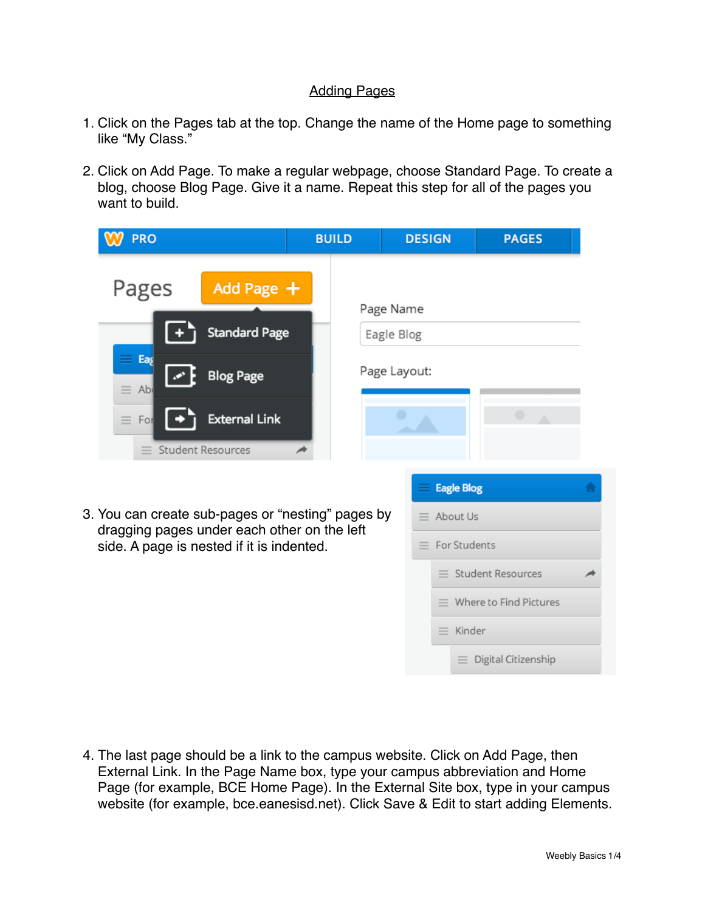## Adding Pages

- 1. Click on the Pages tab at the top. Change the name of the Home page to something like "My Class."
- 2. Click on Add Page. To make a regular webpage, choose Standard Page. To create a blog, choose Blog Page. Give it a name. Repeat this step for all of the pages you want to build.

| <b>PRO</b>                                                                                       | <b>BUILD</b> | <b>DESIGN</b>     | <b>PAGES</b>                    |  |  |
|--------------------------------------------------------------------------------------------------|--------------|-------------------|---------------------------------|--|--|
| Pages<br>Add Page $+$                                                                            |              | Page Name         |                                 |  |  |
| <b>Standard Page</b>                                                                             | Eagle Blog   |                   |                                 |  |  |
| $=$ Eag<br><b>Blog Page</b><br>$\equiv$ Abi                                                      |              | Page Layout:      |                                 |  |  |
| <b>External Link</b><br>$\equiv$<br>For                                                          |              |                   | $\bullet$                       |  |  |
| <b>Student Resources</b><br>$=$                                                                  |              |                   |                                 |  |  |
|                                                                                                  |              | <b>Eagle Blog</b> |                                 |  |  |
| 3. You can create sub-pages or "nesting" pages by<br>dragging pages under each other on the left |              | $\equiv$ About Us |                                 |  |  |
| side. A page is nested if it is indented.                                                        |              | $=$               | For Students                    |  |  |
|                                                                                                  |              |                   | $\equiv$ Student Resources      |  |  |
|                                                                                                  |              |                   | $\equiv$ Where to Find Pictures |  |  |
|                                                                                                  |              | $\equiv$ Kinder   |                                 |  |  |
|                                                                                                  |              | ≡                 | Digital Citizenship             |  |  |

4. The last page should be a link to the campus website. Click on Add Page, then External Link. In the Page Name box, type your campus abbreviation and Home Page (for example, BCE Home Page). In the External Site box, type in your campus website (for example, bce.eanesisd.net). Click Save & Edit to start adding Elements.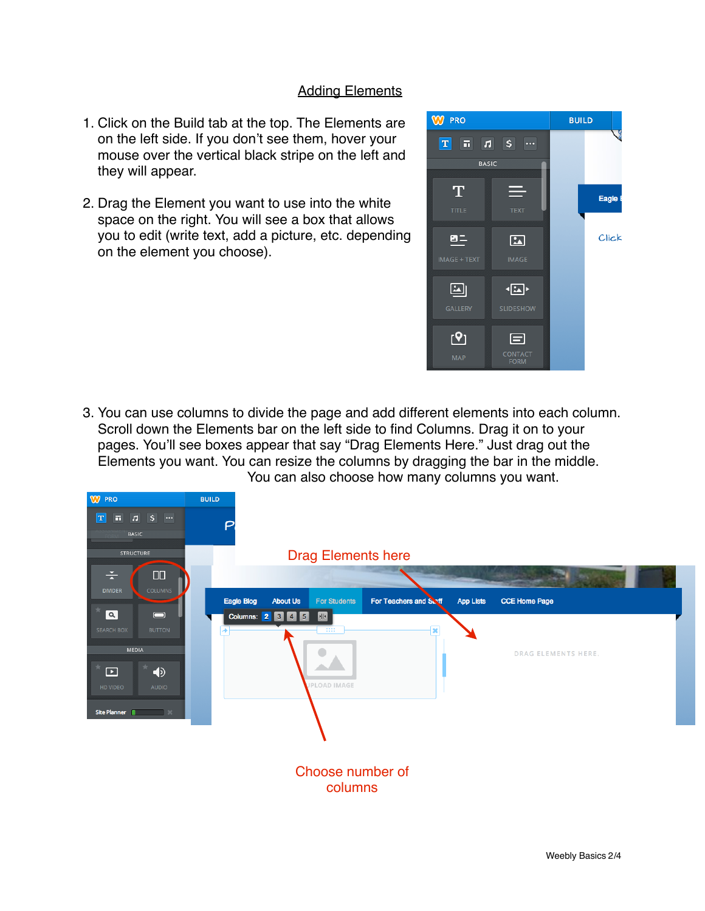## **Adding Elements**

- 1. Click on the Build tab at the top. The Elements are on the left side. If you don't see them, hover your mouse over the vertical black stripe on the left and they will appear.
- 2. Drag the Element you want to use into the white space on the right. You will see a box that allows you to edit (write text, add a picture, etc. depending on the element you choose).



3. You can use columns to divide the page and add different elements into each column. Scroll down the Elements bar on the left side to find Columns. Drag it on to your pages. You'll see boxes appear that say "Drag Elements Here." Just drag out the Elements you want. You can resize the columns by dragging the bar in the middle. You can also choose how many columns you want.

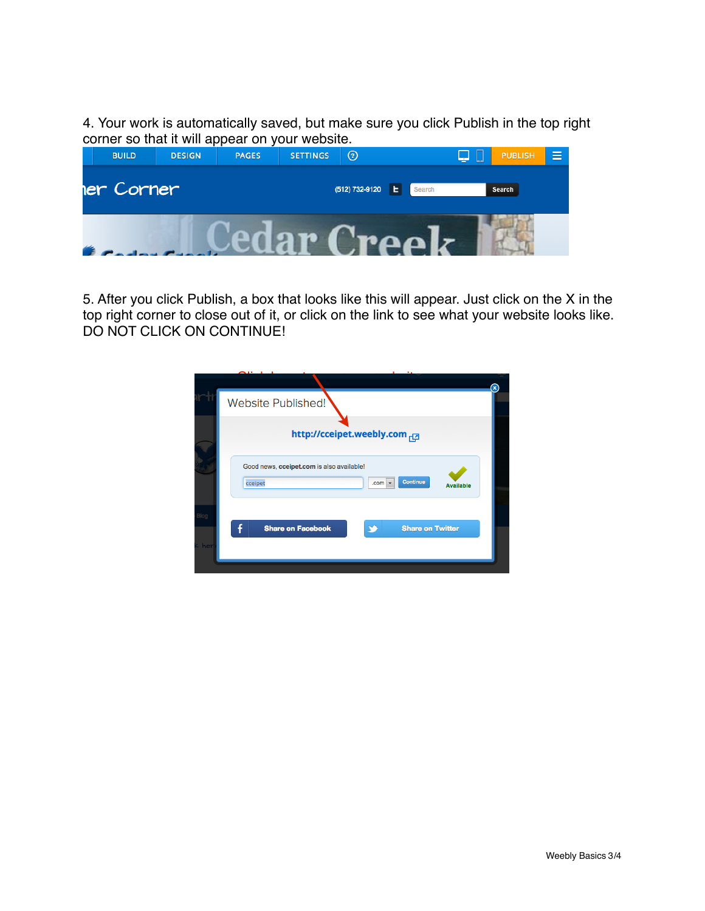4. Your work is automatically saved, but make sure you click Publish in the top right corner so that it will appear on your website.

| <b>BUILD</b> | <b>DESIGN</b> | <b>PAGES</b> | <b>SETTINGS</b> | $^{\copyright}$ |              | ب | <b>PUBLISH</b> | $\equiv$ |
|--------------|---------------|--------------|-----------------|-----------------|--------------|---|----------------|----------|
| er Corner    |               |              |                 | (512) 732-9120  | Search<br>ь. |   | Search         |          |
|              |               |              |                 |                 |              |   |                |          |

5. After you click Publish, a box that looks like this will appear. Just click on the X in the top right corner to close out of it, or click on the link to see what your website looks like. DO NOT CLICK ON CONTINUE!

|     |                                                                                                           | $\circledast$ |
|-----|-----------------------------------------------------------------------------------------------------------|---------------|
|     | Website Published!                                                                                        |               |
|     | http://cceipet.weebly.com                                                                                 |               |
|     | Good news, cceipet.com is also available!<br>Continue<br>cceipet<br>.com <sub>1</sub><br><b>Available</b> |               |
| her | Π<br><b>Share on Facebook</b><br><b>Share on Twitter</b>                                                  |               |
|     |                                                                                                           |               |